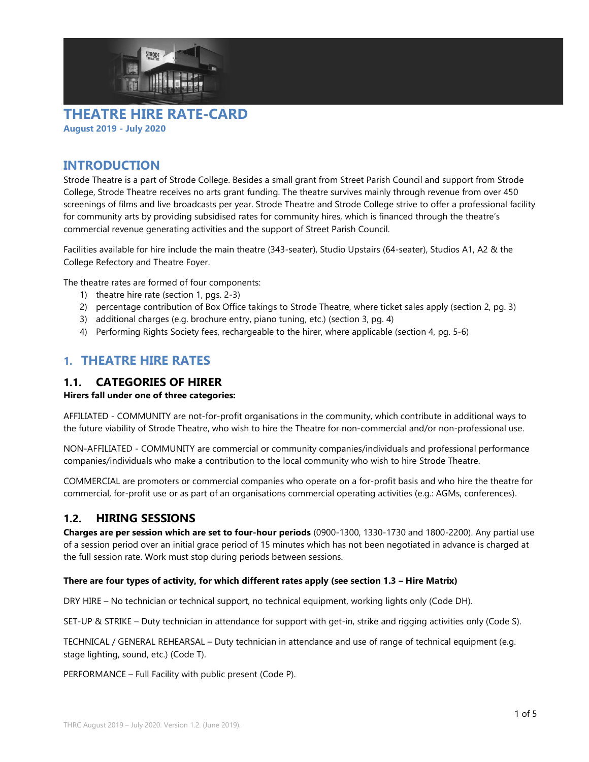



### INTRODUCTION

Strode Theatre is a part of Strode College. Besides a small grant from Street Parish Council and support from Strode College, Strode Theatre receives no arts grant funding. The theatre survives mainly through revenue from over 450 screenings of films and live broadcasts per year. Strode Theatre and Strode College strive to offer a professional facility for community arts by providing subsidised rates for community hires, which is financed through the theatre's commercial revenue generating activities and the support of Street Parish Council.

Facilities available for hire include the main theatre (343-seater), Studio Upstairs (64-seater), Studios A1, A2 & the College Refectory and Theatre Foyer.

The theatre rates are formed of four components:

- 1) theatre hire rate (section 1, pgs. 2-3)
- 2) percentage contribution of Box Office takings to Strode Theatre, where ticket sales apply (section 2, pg. 3)
- 3) additional charges (e.g. brochure entry, piano tuning, etc.) (section 3, pg. 4)
- 4) Performing Rights Society fees, rechargeable to the hirer, where applicable (section 4, pg. 5-6)

## 1. THEATRE HIRE RATES

#### 1.1. CATEGORIES OF HIRER

#### Hirers fall under one of three categories:

AFFILIATED - COMMUNITY are not-for-profit organisations in the community, which contribute in additional ways to the future viability of Strode Theatre, who wish to hire the Theatre for non-commercial and/or non-professional use.

NON-AFFILIATED - COMMUNITY are commercial or community companies/individuals and professional performance companies/individuals who make a contribution to the local community who wish to hire Strode Theatre.

COMMERCIAL are promoters or commercial companies who operate on a for-profit basis and who hire the theatre for commercial, for-profit use or as part of an organisations commercial operating activities (e.g.: AGMs, conferences).

#### 1.2. HIRING SESSIONS

Charges are per session which are set to four-hour periods (0900-1300, 1330-1730 and 1800-2200). Any partial use of a session period over an initial grace period of 15 minutes which has not been negotiated in advance is charged at the full session rate. Work must stop during periods between sessions.

#### There are four types of activity, for which different rates apply (see section 1.3 – Hire Matrix)

DRY HIRE – No technician or technical support, no technical equipment, working lights only (Code DH).

SET-UP & STRIKE – Duty technician in attendance for support with get-in, strike and rigging activities only (Code S).

TECHNICAL / GENERAL REHEARSAL – Duty technician in attendance and use of range of technical equipment (e.g. stage lighting, sound, etc.) (Code T).

PERFORMANCE – Full Facility with public present (Code P).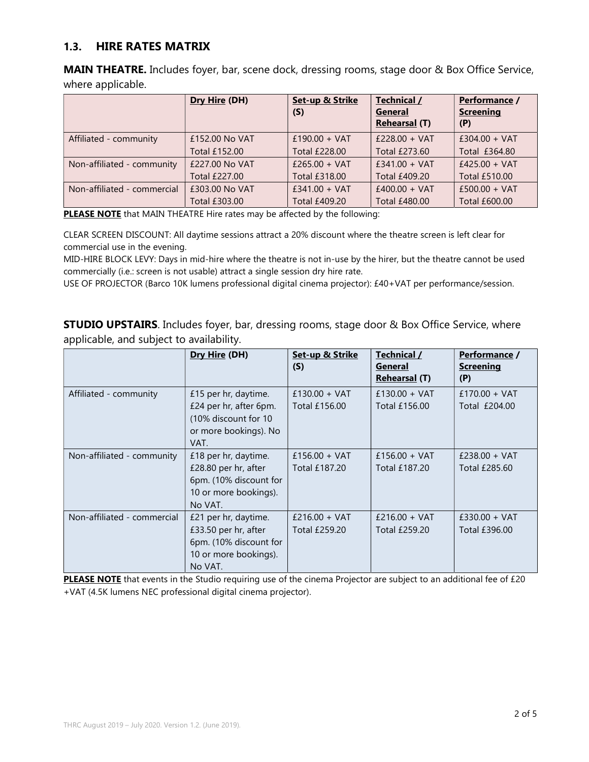#### 1.3. HIRE RATES MATRIX

MAIN THEATRE. Includes foyer, bar, scene dock, dressing rooms, stage door & Box Office Service, where applicable.

|                             | Dry Hire (DH)  | Set-up & Strike<br>(S) | Technical /<br>General<br><b>Rehearsal (T)</b> | Performance /<br><b>Screening</b><br>(P) |
|-----------------------------|----------------|------------------------|------------------------------------------------|------------------------------------------|
| Affiliated - community      | £152,00 No VAT | £190.00 + VAT          | $£228.00 + VAT$                                | $£304.00 + VAT$                          |
|                             | Total £152.00  | Total £228.00          | Total £273.60                                  | Total £364.80                            |
| Non-affiliated - community  | £227.00 No VAT | $£265.00 + VAT$        | $f341.00 + VAT$                                | $£425.00 + VAT$                          |
|                             | Total £227.00  | Total £318.00          | Total £409.20                                  | Total £510.00                            |
| Non-affiliated - commercial | £303,00 No VAT | $£341.00 + VAT$        | $f400.00 + VAT$                                | $£500.00 + VAT$                          |
|                             | Total £303.00  | <b>Total £409.20</b>   | <b>Total £480.00</b>                           | Total £600.00                            |

PLEASE NOTE that MAIN THEATRE Hire rates may be affected by the following:

CLEAR SCREEN DISCOUNT: All daytime sessions attract a 20% discount where the theatre screen is left clear for commercial use in the evening.

MID-HIRE BLOCK LEVY: Days in mid-hire where the theatre is not in-use by the hirer, but the theatre cannot be used commercially (i.e.: screen is not usable) attract a single session dry hire rate.

USE OF PROJECTOR (Barco 10K lumens professional digital cinema projector): £40+VAT per performance/session.

**STUDIO UPSTAIRS**. Includes foyer, bar, dressing rooms, stage door & Box Office Service, where applicable, and subject to availability.

|                             | Dry Hire (DH)                                                                                              | Set-up & Strike<br>(S)                  | Technical /<br><b>General</b><br><b>Rehearsal (T)</b> | Performance /<br><b>Screening</b><br>(P) |
|-----------------------------|------------------------------------------------------------------------------------------------------------|-----------------------------------------|-------------------------------------------------------|------------------------------------------|
| Affiliated - community      | £15 per hr, daytime.<br>£24 per hr, after 6pm.<br>(10% discount for 10)<br>or more bookings). No<br>VAT.   | $£130.00 + VAT$<br>Total £156.00        | $£130.00 + VAT$<br>Total £156.00                      | $£170.00 + VAT$<br>Total £204.00         |
| Non-affiliated - community  | £18 per hr, daytime.<br>£28.80 per hr, after<br>6pm. (10% discount for<br>10 or more bookings).<br>No VAT. | $£156.00 + VAT$<br>Total £187.20        | $£156.00 + VAT$<br>Total £187.20                      | $£238.00 + VAT$<br>Total £285.60         |
| Non-affiliated - commercial | £21 per hr, daytime.<br>£33.50 per hr, after<br>6pm. (10% discount for<br>10 or more bookings).<br>No VAT. | $£216.00 + VAT$<br><b>Total £259.20</b> | $£216.00 + VAT$<br>Total £259.20                      | $£330.00 + VAT$<br>Total £396.00         |

PLEASE NOTE that events in the Studio requiring use of the cinema Projector are subject to an additional fee of £20 +VAT (4.5K lumens NEC professional digital cinema projector).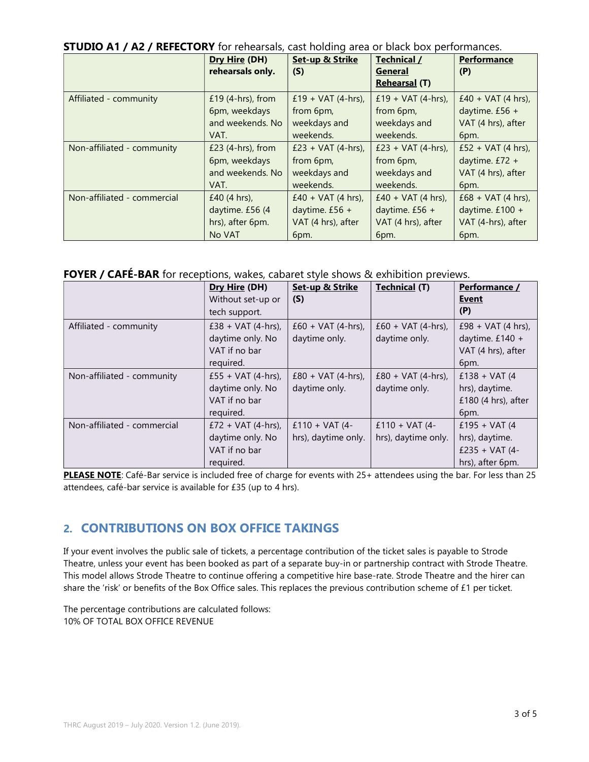| <b>STUDIO A1 / A2 / REFECTORY</b> for rehearsals, cast holding area or black box performances. |  |  |  |  |
|------------------------------------------------------------------------------------------------|--|--|--|--|
|------------------------------------------------------------------------------------------------|--|--|--|--|

|                             | Dry Hire (DH)<br>rehearsals only.     | Set-up & Strike<br>(S)          | Technical /<br><b>General</b><br><b>Rehearsal (T)</b> | Performance<br>(P)                      |
|-----------------------------|---------------------------------------|---------------------------------|-------------------------------------------------------|-----------------------------------------|
| Affiliated - community      | £19 $(4-hrs)$ , from<br>6pm, weekdays | £19 + VAT (4-hrs),<br>from 6pm, | £19 + $VAT$ (4-hrs),<br>from 6pm,                     | $£40 + VAT(4 hrs),$<br>daytime. $£56 +$ |
|                             | and weekends. No                      | weekdays and                    | weekdays and                                          | VAT (4 hrs), after                      |
|                             | VAT.                                  | weekends.                       | weekends.                                             | 6pm.                                    |
| Non-affiliated - community  | $£23$ (4-hrs), from                   | £23 + VAT $(4-hrs)$ ,           | £23 + VAT $(4-hrs)$ ,                                 | £52 + VAT (4 hrs),                      |
|                             | 6pm, weekdays                         | from 6pm,                       | from 6pm,                                             | daytime. $£72 +$                        |
|                             | and weekends. No                      | weekdays and                    | weekdays and                                          | VAT (4 hrs), after                      |
|                             | VAT.                                  | weekends.                       | weekends.                                             | 6pm.                                    |
| Non-affiliated - commercial | £40 $(4 \text{ hrs})$ ,               | $£40 + VAT(4 hrs),$             | $£40 + VAT(4 hrs),$                                   | $£68 + VAT(4 hrs),$                     |
|                             | daytime. £56 (4                       | daytime. $£56 +$                | daytime. $£56 +$                                      | daytime. $£100 +$                       |
|                             | hrs), after 6pm.                      | VAT (4 hrs), after              | VAT (4 hrs), after                                    | VAT (4-hrs), after                      |
|                             | No VAT                                | 6pm.                            | 6pm.                                                  | 6pm.                                    |

#### FOYER / CAFÉ-BAR for receptions, wakes, cabaret style shows & exhibition previews.

|                             | Dry Hire (DH)<br>Without set-up or<br>tech support.                     | Set-up & Strike<br>(S)                 | <b>Technical (T)</b>                   | Performance /<br><b>Event</b><br>(P)                                             |
|-----------------------------|-------------------------------------------------------------------------|----------------------------------------|----------------------------------------|----------------------------------------------------------------------------------|
| Affiliated - community      | £38 + VAT $(4-hrs)$ ,<br>daytime only. No<br>VAT if no bar<br>required. | $£60 + VAT (4-hrs),$<br>daytime only.  | $£60 + VAT(4-hrs),$<br>daytime only.   | £98 + VAT $(4 \text{ hrs})$ ,<br>daytime. $£140 +$<br>VAT (4 hrs), after<br>6pm. |
| Non-affiliated - community  | £55 + VAT (4-hrs),<br>daytime only. No<br>VAT if no bar<br>required.    | $£80 + VAT (4-hrs),$<br>daytime only.  | $£80 + VAT(4-hrs),$<br>daytime only.   | $£138 + VAT(4)$<br>hrs), daytime.<br>£180 $(4 \text{ hrs})$ , after<br>6pm.      |
| Non-affiliated - commercial | £72 + VAT $(4-hrs)$ ,<br>daytime only. No<br>VAT if no bar<br>required. | $£110 + VAT(4-$<br>hrs), daytime only. | $£110 + VAT(4-$<br>hrs), daytime only. | £195 + VAT $(4)$<br>hrs), daytime.<br>£235 + VAT $(4 -$<br>hrs), after 6pm.      |

PLEASE NOTE: Café-Bar service is included free of charge for events with 25+ attendees using the bar. For less than 25 attendees, café-bar service is available for £35 (up to 4 hrs).

## 2. CONTRIBUTIONS ON BOX OFFICE TAKINGS

If your event involves the public sale of tickets, a percentage contribution of the ticket sales is payable to Strode Theatre, unless your event has been booked as part of a separate buy-in or partnership contract with Strode Theatre. This model allows Strode Theatre to continue offering a competitive hire base-rate. Strode Theatre and the hirer can share the 'risk' or benefits of the Box Office sales. This replaces the previous contribution scheme of £1 per ticket.

The percentage contributions are calculated follows: 10% OF TOTAL BOX OFFICE REVENUE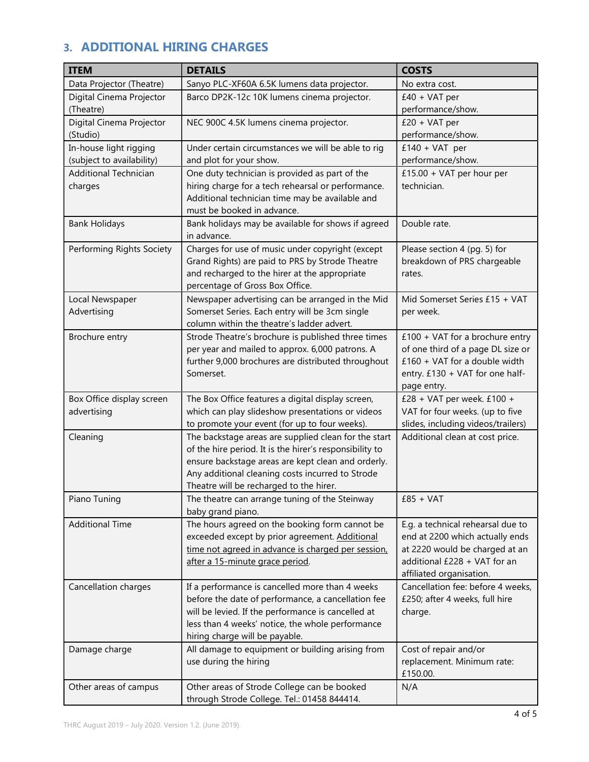# 3. ADDITIONAL HIRING CHARGES

| Data Projector (Theatre)<br>Sanyo PLC-XF60A 6.5K lumens data projector.<br>No extra cost.<br>$£40 + VAT$ per<br>Digital Cinema Projector<br>Barco DP2K-12c 10K lumens cinema projector.<br>(Theatre)<br>performance/show.<br>Digital Cinema Projector<br>$£20 + VAT per$<br>NEC 900C 4.5K lumens cinema projector.<br>(Studio)<br>performance/show.<br>In-house light rigging<br>Under certain circumstances we will be able to rig<br>$£140 + VAT$ per<br>performance/show.<br>(subject to availability)<br>and plot for your show.<br><b>Additional Technician</b><br>One duty technician is provided as part of the<br>£15.00 + VAT per hour per<br>hiring charge for a tech rehearsal or performance.<br>technician.<br>charges<br>Additional technician time may be available and<br>must be booked in advance.<br>Bank holidays may be available for shows if agreed<br>Double rate.<br><b>Bank Holidays</b><br>in advance.<br>Charges for use of music under copyright (except<br>Performing Rights Society<br>Please section 4 (pg. 5) for<br>Grand Rights) are paid to PRS by Strode Theatre<br>breakdown of PRS chargeable<br>and recharged to the hirer at the appropriate<br>rates.<br>percentage of Gross Box Office.<br>Newspaper advertising can be arranged in the Mid<br>Mid Somerset Series £15 + VAT<br>Local Newspaper<br>Somerset Series. Each entry will be 3cm single<br>Advertising<br>per week.<br>column within the theatre's ladder advert.<br>Strode Theatre's brochure is published three times<br>$£100 + VAT$ for a brochure entry<br>Brochure entry<br>per year and mailed to approx. 6,000 patrons. A<br>of one third of a page DL size or<br>further 9,000 brochures are distributed throughout<br>$£160 + VAT$ for a double width<br>Somerset.<br>entry. £130 + VAT for one half-<br>page entry.<br>£28 + VAT per week. $£100 +$<br>Box Office display screen<br>The Box Office features a digital display screen,<br>advertising<br>which can play slideshow presentations or videos<br>VAT for four weeks. (up to five<br>slides, including videos/trailers)<br>to promote your event (for up to four weeks).<br>The backstage areas are supplied clean for the start<br>Additional clean at cost price.<br>Cleaning<br>of the hire period. It is the hirer's responsibility to<br>ensure backstage areas are kept clean and orderly.<br>Any additional cleaning costs incurred to Strode<br>Theatre will be recharged to the hirer.<br>$£85 + VAT$<br>Piano Tuning<br>The theatre can arrange tuning of the Steinway<br>baby grand piano.<br><b>Additional Time</b><br>The hours agreed on the booking form cannot be<br>E.g. a technical rehearsal due to<br>exceeded except by prior agreement. Additional<br>end at 2200 which actually ends<br>at 2220 would be charged at an<br>time not agreed in advance is charged per session,<br>additional £228 + VAT for an<br>after a 15-minute grace period.<br>affiliated organisation.<br>Cancellation fee: before 4 weeks,<br>Cancellation charges<br>If a performance is cancelled more than 4 weeks<br>before the date of performance, a cancellation fee<br>£250; after 4 weeks, full hire<br>will be levied. If the performance is cancelled at<br>charge.<br>less than 4 weeks' notice, the whole performance<br>hiring charge will be payable.<br>All damage to equipment or building arising from<br>Cost of repair and/or<br>Damage charge<br>replacement. Minimum rate:<br>use during the hiring<br>£150.00.<br>Other areas of Strode College can be booked<br>Other areas of campus<br>N/A<br>through Strode College. Tel.: 01458 844414. | <b>ITEM</b> | <b>DETAILS</b> | <b>COSTS</b> |
|--------------------------------------------------------------------------------------------------------------------------------------------------------------------------------------------------------------------------------------------------------------------------------------------------------------------------------------------------------------------------------------------------------------------------------------------------------------------------------------------------------------------------------------------------------------------------------------------------------------------------------------------------------------------------------------------------------------------------------------------------------------------------------------------------------------------------------------------------------------------------------------------------------------------------------------------------------------------------------------------------------------------------------------------------------------------------------------------------------------------------------------------------------------------------------------------------------------------------------------------------------------------------------------------------------------------------------------------------------------------------------------------------------------------------------------------------------------------------------------------------------------------------------------------------------------------------------------------------------------------------------------------------------------------------------------------------------------------------------------------------------------------------------------------------------------------------------------------------------------------------------------------------------------------------------------------------------------------------------------------------------------------------------------------------------------------------------------------------------------------------------------------------------------------------------------------------------------------------------------------------------------------------------------------------------------------------------------------------------------------------------------------------------------------------------------------------------------------------------------------------------------------------------------------------------------------------------------------------------------------------------------------------------------------------------------------------------------------------------------------------------------------------------------------------------------------------------------------------------------------------------------------------------------------------------------------------------------------------------------------------------------------------------------------------------------------------------------------------------------------------------------------------------------------------------------------------------------------------------------------------------------------------------------------------------------------------------------------------------------------------------------------------------------------------------------------------------------------------------------------------------------------------------------------------------------------------------------------------------------------------------------------|-------------|----------------|--------------|
|                                                                                                                                                                                                                                                                                                                                                                                                                                                                                                                                                                                                                                                                                                                                                                                                                                                                                                                                                                                                                                                                                                                                                                                                                                                                                                                                                                                                                                                                                                                                                                                                                                                                                                                                                                                                                                                                                                                                                                                                                                                                                                                                                                                                                                                                                                                                                                                                                                                                                                                                                                                                                                                                                                                                                                                                                                                                                                                                                                                                                                                                                                                                                                                                                                                                                                                                                                                                                                                                                                                                                                                                                                            |             |                |              |
|                                                                                                                                                                                                                                                                                                                                                                                                                                                                                                                                                                                                                                                                                                                                                                                                                                                                                                                                                                                                                                                                                                                                                                                                                                                                                                                                                                                                                                                                                                                                                                                                                                                                                                                                                                                                                                                                                                                                                                                                                                                                                                                                                                                                                                                                                                                                                                                                                                                                                                                                                                                                                                                                                                                                                                                                                                                                                                                                                                                                                                                                                                                                                                                                                                                                                                                                                                                                                                                                                                                                                                                                                                            |             |                |              |
|                                                                                                                                                                                                                                                                                                                                                                                                                                                                                                                                                                                                                                                                                                                                                                                                                                                                                                                                                                                                                                                                                                                                                                                                                                                                                                                                                                                                                                                                                                                                                                                                                                                                                                                                                                                                                                                                                                                                                                                                                                                                                                                                                                                                                                                                                                                                                                                                                                                                                                                                                                                                                                                                                                                                                                                                                                                                                                                                                                                                                                                                                                                                                                                                                                                                                                                                                                                                                                                                                                                                                                                                                                            |             |                |              |
|                                                                                                                                                                                                                                                                                                                                                                                                                                                                                                                                                                                                                                                                                                                                                                                                                                                                                                                                                                                                                                                                                                                                                                                                                                                                                                                                                                                                                                                                                                                                                                                                                                                                                                                                                                                                                                                                                                                                                                                                                                                                                                                                                                                                                                                                                                                                                                                                                                                                                                                                                                                                                                                                                                                                                                                                                                                                                                                                                                                                                                                                                                                                                                                                                                                                                                                                                                                                                                                                                                                                                                                                                                            |             |                |              |
|                                                                                                                                                                                                                                                                                                                                                                                                                                                                                                                                                                                                                                                                                                                                                                                                                                                                                                                                                                                                                                                                                                                                                                                                                                                                                                                                                                                                                                                                                                                                                                                                                                                                                                                                                                                                                                                                                                                                                                                                                                                                                                                                                                                                                                                                                                                                                                                                                                                                                                                                                                                                                                                                                                                                                                                                                                                                                                                                                                                                                                                                                                                                                                                                                                                                                                                                                                                                                                                                                                                                                                                                                                            |             |                |              |
|                                                                                                                                                                                                                                                                                                                                                                                                                                                                                                                                                                                                                                                                                                                                                                                                                                                                                                                                                                                                                                                                                                                                                                                                                                                                                                                                                                                                                                                                                                                                                                                                                                                                                                                                                                                                                                                                                                                                                                                                                                                                                                                                                                                                                                                                                                                                                                                                                                                                                                                                                                                                                                                                                                                                                                                                                                                                                                                                                                                                                                                                                                                                                                                                                                                                                                                                                                                                                                                                                                                                                                                                                                            |             |                |              |
|                                                                                                                                                                                                                                                                                                                                                                                                                                                                                                                                                                                                                                                                                                                                                                                                                                                                                                                                                                                                                                                                                                                                                                                                                                                                                                                                                                                                                                                                                                                                                                                                                                                                                                                                                                                                                                                                                                                                                                                                                                                                                                                                                                                                                                                                                                                                                                                                                                                                                                                                                                                                                                                                                                                                                                                                                                                                                                                                                                                                                                                                                                                                                                                                                                                                                                                                                                                                                                                                                                                                                                                                                                            |             |                |              |
|                                                                                                                                                                                                                                                                                                                                                                                                                                                                                                                                                                                                                                                                                                                                                                                                                                                                                                                                                                                                                                                                                                                                                                                                                                                                                                                                                                                                                                                                                                                                                                                                                                                                                                                                                                                                                                                                                                                                                                                                                                                                                                                                                                                                                                                                                                                                                                                                                                                                                                                                                                                                                                                                                                                                                                                                                                                                                                                                                                                                                                                                                                                                                                                                                                                                                                                                                                                                                                                                                                                                                                                                                                            |             |                |              |
|                                                                                                                                                                                                                                                                                                                                                                                                                                                                                                                                                                                                                                                                                                                                                                                                                                                                                                                                                                                                                                                                                                                                                                                                                                                                                                                                                                                                                                                                                                                                                                                                                                                                                                                                                                                                                                                                                                                                                                                                                                                                                                                                                                                                                                                                                                                                                                                                                                                                                                                                                                                                                                                                                                                                                                                                                                                                                                                                                                                                                                                                                                                                                                                                                                                                                                                                                                                                                                                                                                                                                                                                                                            |             |                |              |
|                                                                                                                                                                                                                                                                                                                                                                                                                                                                                                                                                                                                                                                                                                                                                                                                                                                                                                                                                                                                                                                                                                                                                                                                                                                                                                                                                                                                                                                                                                                                                                                                                                                                                                                                                                                                                                                                                                                                                                                                                                                                                                                                                                                                                                                                                                                                                                                                                                                                                                                                                                                                                                                                                                                                                                                                                                                                                                                                                                                                                                                                                                                                                                                                                                                                                                                                                                                                                                                                                                                                                                                                                                            |             |                |              |
|                                                                                                                                                                                                                                                                                                                                                                                                                                                                                                                                                                                                                                                                                                                                                                                                                                                                                                                                                                                                                                                                                                                                                                                                                                                                                                                                                                                                                                                                                                                                                                                                                                                                                                                                                                                                                                                                                                                                                                                                                                                                                                                                                                                                                                                                                                                                                                                                                                                                                                                                                                                                                                                                                                                                                                                                                                                                                                                                                                                                                                                                                                                                                                                                                                                                                                                                                                                                                                                                                                                                                                                                                                            |             |                |              |
|                                                                                                                                                                                                                                                                                                                                                                                                                                                                                                                                                                                                                                                                                                                                                                                                                                                                                                                                                                                                                                                                                                                                                                                                                                                                                                                                                                                                                                                                                                                                                                                                                                                                                                                                                                                                                                                                                                                                                                                                                                                                                                                                                                                                                                                                                                                                                                                                                                                                                                                                                                                                                                                                                                                                                                                                                                                                                                                                                                                                                                                                                                                                                                                                                                                                                                                                                                                                                                                                                                                                                                                                                                            |             |                |              |
|                                                                                                                                                                                                                                                                                                                                                                                                                                                                                                                                                                                                                                                                                                                                                                                                                                                                                                                                                                                                                                                                                                                                                                                                                                                                                                                                                                                                                                                                                                                                                                                                                                                                                                                                                                                                                                                                                                                                                                                                                                                                                                                                                                                                                                                                                                                                                                                                                                                                                                                                                                                                                                                                                                                                                                                                                                                                                                                                                                                                                                                                                                                                                                                                                                                                                                                                                                                                                                                                                                                                                                                                                                            |             |                |              |
|                                                                                                                                                                                                                                                                                                                                                                                                                                                                                                                                                                                                                                                                                                                                                                                                                                                                                                                                                                                                                                                                                                                                                                                                                                                                                                                                                                                                                                                                                                                                                                                                                                                                                                                                                                                                                                                                                                                                                                                                                                                                                                                                                                                                                                                                                                                                                                                                                                                                                                                                                                                                                                                                                                                                                                                                                                                                                                                                                                                                                                                                                                                                                                                                                                                                                                                                                                                                                                                                                                                                                                                                                                            |             |                |              |
|                                                                                                                                                                                                                                                                                                                                                                                                                                                                                                                                                                                                                                                                                                                                                                                                                                                                                                                                                                                                                                                                                                                                                                                                                                                                                                                                                                                                                                                                                                                                                                                                                                                                                                                                                                                                                                                                                                                                                                                                                                                                                                                                                                                                                                                                                                                                                                                                                                                                                                                                                                                                                                                                                                                                                                                                                                                                                                                                                                                                                                                                                                                                                                                                                                                                                                                                                                                                                                                                                                                                                                                                                                            |             |                |              |
|                                                                                                                                                                                                                                                                                                                                                                                                                                                                                                                                                                                                                                                                                                                                                                                                                                                                                                                                                                                                                                                                                                                                                                                                                                                                                                                                                                                                                                                                                                                                                                                                                                                                                                                                                                                                                                                                                                                                                                                                                                                                                                                                                                                                                                                                                                                                                                                                                                                                                                                                                                                                                                                                                                                                                                                                                                                                                                                                                                                                                                                                                                                                                                                                                                                                                                                                                                                                                                                                                                                                                                                                                                            |             |                |              |
|                                                                                                                                                                                                                                                                                                                                                                                                                                                                                                                                                                                                                                                                                                                                                                                                                                                                                                                                                                                                                                                                                                                                                                                                                                                                                                                                                                                                                                                                                                                                                                                                                                                                                                                                                                                                                                                                                                                                                                                                                                                                                                                                                                                                                                                                                                                                                                                                                                                                                                                                                                                                                                                                                                                                                                                                                                                                                                                                                                                                                                                                                                                                                                                                                                                                                                                                                                                                                                                                                                                                                                                                                                            |             |                |              |
|                                                                                                                                                                                                                                                                                                                                                                                                                                                                                                                                                                                                                                                                                                                                                                                                                                                                                                                                                                                                                                                                                                                                                                                                                                                                                                                                                                                                                                                                                                                                                                                                                                                                                                                                                                                                                                                                                                                                                                                                                                                                                                                                                                                                                                                                                                                                                                                                                                                                                                                                                                                                                                                                                                                                                                                                                                                                                                                                                                                                                                                                                                                                                                                                                                                                                                                                                                                                                                                                                                                                                                                                                                            |             |                |              |
|                                                                                                                                                                                                                                                                                                                                                                                                                                                                                                                                                                                                                                                                                                                                                                                                                                                                                                                                                                                                                                                                                                                                                                                                                                                                                                                                                                                                                                                                                                                                                                                                                                                                                                                                                                                                                                                                                                                                                                                                                                                                                                                                                                                                                                                                                                                                                                                                                                                                                                                                                                                                                                                                                                                                                                                                                                                                                                                                                                                                                                                                                                                                                                                                                                                                                                                                                                                                                                                                                                                                                                                                                                            |             |                |              |
|                                                                                                                                                                                                                                                                                                                                                                                                                                                                                                                                                                                                                                                                                                                                                                                                                                                                                                                                                                                                                                                                                                                                                                                                                                                                                                                                                                                                                                                                                                                                                                                                                                                                                                                                                                                                                                                                                                                                                                                                                                                                                                                                                                                                                                                                                                                                                                                                                                                                                                                                                                                                                                                                                                                                                                                                                                                                                                                                                                                                                                                                                                                                                                                                                                                                                                                                                                                                                                                                                                                                                                                                                                            |             |                |              |
|                                                                                                                                                                                                                                                                                                                                                                                                                                                                                                                                                                                                                                                                                                                                                                                                                                                                                                                                                                                                                                                                                                                                                                                                                                                                                                                                                                                                                                                                                                                                                                                                                                                                                                                                                                                                                                                                                                                                                                                                                                                                                                                                                                                                                                                                                                                                                                                                                                                                                                                                                                                                                                                                                                                                                                                                                                                                                                                                                                                                                                                                                                                                                                                                                                                                                                                                                                                                                                                                                                                                                                                                                                            |             |                |              |
|                                                                                                                                                                                                                                                                                                                                                                                                                                                                                                                                                                                                                                                                                                                                                                                                                                                                                                                                                                                                                                                                                                                                                                                                                                                                                                                                                                                                                                                                                                                                                                                                                                                                                                                                                                                                                                                                                                                                                                                                                                                                                                                                                                                                                                                                                                                                                                                                                                                                                                                                                                                                                                                                                                                                                                                                                                                                                                                                                                                                                                                                                                                                                                                                                                                                                                                                                                                                                                                                                                                                                                                                                                            |             |                |              |
|                                                                                                                                                                                                                                                                                                                                                                                                                                                                                                                                                                                                                                                                                                                                                                                                                                                                                                                                                                                                                                                                                                                                                                                                                                                                                                                                                                                                                                                                                                                                                                                                                                                                                                                                                                                                                                                                                                                                                                                                                                                                                                                                                                                                                                                                                                                                                                                                                                                                                                                                                                                                                                                                                                                                                                                                                                                                                                                                                                                                                                                                                                                                                                                                                                                                                                                                                                                                                                                                                                                                                                                                                                            |             |                |              |
|                                                                                                                                                                                                                                                                                                                                                                                                                                                                                                                                                                                                                                                                                                                                                                                                                                                                                                                                                                                                                                                                                                                                                                                                                                                                                                                                                                                                                                                                                                                                                                                                                                                                                                                                                                                                                                                                                                                                                                                                                                                                                                                                                                                                                                                                                                                                                                                                                                                                                                                                                                                                                                                                                                                                                                                                                                                                                                                                                                                                                                                                                                                                                                                                                                                                                                                                                                                                                                                                                                                                                                                                                                            |             |                |              |
|                                                                                                                                                                                                                                                                                                                                                                                                                                                                                                                                                                                                                                                                                                                                                                                                                                                                                                                                                                                                                                                                                                                                                                                                                                                                                                                                                                                                                                                                                                                                                                                                                                                                                                                                                                                                                                                                                                                                                                                                                                                                                                                                                                                                                                                                                                                                                                                                                                                                                                                                                                                                                                                                                                                                                                                                                                                                                                                                                                                                                                                                                                                                                                                                                                                                                                                                                                                                                                                                                                                                                                                                                                            |             |                |              |
|                                                                                                                                                                                                                                                                                                                                                                                                                                                                                                                                                                                                                                                                                                                                                                                                                                                                                                                                                                                                                                                                                                                                                                                                                                                                                                                                                                                                                                                                                                                                                                                                                                                                                                                                                                                                                                                                                                                                                                                                                                                                                                                                                                                                                                                                                                                                                                                                                                                                                                                                                                                                                                                                                                                                                                                                                                                                                                                                                                                                                                                                                                                                                                                                                                                                                                                                                                                                                                                                                                                                                                                                                                            |             |                |              |
|                                                                                                                                                                                                                                                                                                                                                                                                                                                                                                                                                                                                                                                                                                                                                                                                                                                                                                                                                                                                                                                                                                                                                                                                                                                                                                                                                                                                                                                                                                                                                                                                                                                                                                                                                                                                                                                                                                                                                                                                                                                                                                                                                                                                                                                                                                                                                                                                                                                                                                                                                                                                                                                                                                                                                                                                                                                                                                                                                                                                                                                                                                                                                                                                                                                                                                                                                                                                                                                                                                                                                                                                                                            |             |                |              |
|                                                                                                                                                                                                                                                                                                                                                                                                                                                                                                                                                                                                                                                                                                                                                                                                                                                                                                                                                                                                                                                                                                                                                                                                                                                                                                                                                                                                                                                                                                                                                                                                                                                                                                                                                                                                                                                                                                                                                                                                                                                                                                                                                                                                                                                                                                                                                                                                                                                                                                                                                                                                                                                                                                                                                                                                                                                                                                                                                                                                                                                                                                                                                                                                                                                                                                                                                                                                                                                                                                                                                                                                                                            |             |                |              |
|                                                                                                                                                                                                                                                                                                                                                                                                                                                                                                                                                                                                                                                                                                                                                                                                                                                                                                                                                                                                                                                                                                                                                                                                                                                                                                                                                                                                                                                                                                                                                                                                                                                                                                                                                                                                                                                                                                                                                                                                                                                                                                                                                                                                                                                                                                                                                                                                                                                                                                                                                                                                                                                                                                                                                                                                                                                                                                                                                                                                                                                                                                                                                                                                                                                                                                                                                                                                                                                                                                                                                                                                                                            |             |                |              |
|                                                                                                                                                                                                                                                                                                                                                                                                                                                                                                                                                                                                                                                                                                                                                                                                                                                                                                                                                                                                                                                                                                                                                                                                                                                                                                                                                                                                                                                                                                                                                                                                                                                                                                                                                                                                                                                                                                                                                                                                                                                                                                                                                                                                                                                                                                                                                                                                                                                                                                                                                                                                                                                                                                                                                                                                                                                                                                                                                                                                                                                                                                                                                                                                                                                                                                                                                                                                                                                                                                                                                                                                                                            |             |                |              |
|                                                                                                                                                                                                                                                                                                                                                                                                                                                                                                                                                                                                                                                                                                                                                                                                                                                                                                                                                                                                                                                                                                                                                                                                                                                                                                                                                                                                                                                                                                                                                                                                                                                                                                                                                                                                                                                                                                                                                                                                                                                                                                                                                                                                                                                                                                                                                                                                                                                                                                                                                                                                                                                                                                                                                                                                                                                                                                                                                                                                                                                                                                                                                                                                                                                                                                                                                                                                                                                                                                                                                                                                                                            |             |                |              |
|                                                                                                                                                                                                                                                                                                                                                                                                                                                                                                                                                                                                                                                                                                                                                                                                                                                                                                                                                                                                                                                                                                                                                                                                                                                                                                                                                                                                                                                                                                                                                                                                                                                                                                                                                                                                                                                                                                                                                                                                                                                                                                                                                                                                                                                                                                                                                                                                                                                                                                                                                                                                                                                                                                                                                                                                                                                                                                                                                                                                                                                                                                                                                                                                                                                                                                                                                                                                                                                                                                                                                                                                                                            |             |                |              |
|                                                                                                                                                                                                                                                                                                                                                                                                                                                                                                                                                                                                                                                                                                                                                                                                                                                                                                                                                                                                                                                                                                                                                                                                                                                                                                                                                                                                                                                                                                                                                                                                                                                                                                                                                                                                                                                                                                                                                                                                                                                                                                                                                                                                                                                                                                                                                                                                                                                                                                                                                                                                                                                                                                                                                                                                                                                                                                                                                                                                                                                                                                                                                                                                                                                                                                                                                                                                                                                                                                                                                                                                                                            |             |                |              |
|                                                                                                                                                                                                                                                                                                                                                                                                                                                                                                                                                                                                                                                                                                                                                                                                                                                                                                                                                                                                                                                                                                                                                                                                                                                                                                                                                                                                                                                                                                                                                                                                                                                                                                                                                                                                                                                                                                                                                                                                                                                                                                                                                                                                                                                                                                                                                                                                                                                                                                                                                                                                                                                                                                                                                                                                                                                                                                                                                                                                                                                                                                                                                                                                                                                                                                                                                                                                                                                                                                                                                                                                                                            |             |                |              |
|                                                                                                                                                                                                                                                                                                                                                                                                                                                                                                                                                                                                                                                                                                                                                                                                                                                                                                                                                                                                                                                                                                                                                                                                                                                                                                                                                                                                                                                                                                                                                                                                                                                                                                                                                                                                                                                                                                                                                                                                                                                                                                                                                                                                                                                                                                                                                                                                                                                                                                                                                                                                                                                                                                                                                                                                                                                                                                                                                                                                                                                                                                                                                                                                                                                                                                                                                                                                                                                                                                                                                                                                                                            |             |                |              |
|                                                                                                                                                                                                                                                                                                                                                                                                                                                                                                                                                                                                                                                                                                                                                                                                                                                                                                                                                                                                                                                                                                                                                                                                                                                                                                                                                                                                                                                                                                                                                                                                                                                                                                                                                                                                                                                                                                                                                                                                                                                                                                                                                                                                                                                                                                                                                                                                                                                                                                                                                                                                                                                                                                                                                                                                                                                                                                                                                                                                                                                                                                                                                                                                                                                                                                                                                                                                                                                                                                                                                                                                                                            |             |                |              |
|                                                                                                                                                                                                                                                                                                                                                                                                                                                                                                                                                                                                                                                                                                                                                                                                                                                                                                                                                                                                                                                                                                                                                                                                                                                                                                                                                                                                                                                                                                                                                                                                                                                                                                                                                                                                                                                                                                                                                                                                                                                                                                                                                                                                                                                                                                                                                                                                                                                                                                                                                                                                                                                                                                                                                                                                                                                                                                                                                                                                                                                                                                                                                                                                                                                                                                                                                                                                                                                                                                                                                                                                                                            |             |                |              |
|                                                                                                                                                                                                                                                                                                                                                                                                                                                                                                                                                                                                                                                                                                                                                                                                                                                                                                                                                                                                                                                                                                                                                                                                                                                                                                                                                                                                                                                                                                                                                                                                                                                                                                                                                                                                                                                                                                                                                                                                                                                                                                                                                                                                                                                                                                                                                                                                                                                                                                                                                                                                                                                                                                                                                                                                                                                                                                                                                                                                                                                                                                                                                                                                                                                                                                                                                                                                                                                                                                                                                                                                                                            |             |                |              |
|                                                                                                                                                                                                                                                                                                                                                                                                                                                                                                                                                                                                                                                                                                                                                                                                                                                                                                                                                                                                                                                                                                                                                                                                                                                                                                                                                                                                                                                                                                                                                                                                                                                                                                                                                                                                                                                                                                                                                                                                                                                                                                                                                                                                                                                                                                                                                                                                                                                                                                                                                                                                                                                                                                                                                                                                                                                                                                                                                                                                                                                                                                                                                                                                                                                                                                                                                                                                                                                                                                                                                                                                                                            |             |                |              |
|                                                                                                                                                                                                                                                                                                                                                                                                                                                                                                                                                                                                                                                                                                                                                                                                                                                                                                                                                                                                                                                                                                                                                                                                                                                                                                                                                                                                                                                                                                                                                                                                                                                                                                                                                                                                                                                                                                                                                                                                                                                                                                                                                                                                                                                                                                                                                                                                                                                                                                                                                                                                                                                                                                                                                                                                                                                                                                                                                                                                                                                                                                                                                                                                                                                                                                                                                                                                                                                                                                                                                                                                                                            |             |                |              |
|                                                                                                                                                                                                                                                                                                                                                                                                                                                                                                                                                                                                                                                                                                                                                                                                                                                                                                                                                                                                                                                                                                                                                                                                                                                                                                                                                                                                                                                                                                                                                                                                                                                                                                                                                                                                                                                                                                                                                                                                                                                                                                                                                                                                                                                                                                                                                                                                                                                                                                                                                                                                                                                                                                                                                                                                                                                                                                                                                                                                                                                                                                                                                                                                                                                                                                                                                                                                                                                                                                                                                                                                                                            |             |                |              |
|                                                                                                                                                                                                                                                                                                                                                                                                                                                                                                                                                                                                                                                                                                                                                                                                                                                                                                                                                                                                                                                                                                                                                                                                                                                                                                                                                                                                                                                                                                                                                                                                                                                                                                                                                                                                                                                                                                                                                                                                                                                                                                                                                                                                                                                                                                                                                                                                                                                                                                                                                                                                                                                                                                                                                                                                                                                                                                                                                                                                                                                                                                                                                                                                                                                                                                                                                                                                                                                                                                                                                                                                                                            |             |                |              |
|                                                                                                                                                                                                                                                                                                                                                                                                                                                                                                                                                                                                                                                                                                                                                                                                                                                                                                                                                                                                                                                                                                                                                                                                                                                                                                                                                                                                                                                                                                                                                                                                                                                                                                                                                                                                                                                                                                                                                                                                                                                                                                                                                                                                                                                                                                                                                                                                                                                                                                                                                                                                                                                                                                                                                                                                                                                                                                                                                                                                                                                                                                                                                                                                                                                                                                                                                                                                                                                                                                                                                                                                                                            |             |                |              |
|                                                                                                                                                                                                                                                                                                                                                                                                                                                                                                                                                                                                                                                                                                                                                                                                                                                                                                                                                                                                                                                                                                                                                                                                                                                                                                                                                                                                                                                                                                                                                                                                                                                                                                                                                                                                                                                                                                                                                                                                                                                                                                                                                                                                                                                                                                                                                                                                                                                                                                                                                                                                                                                                                                                                                                                                                                                                                                                                                                                                                                                                                                                                                                                                                                                                                                                                                                                                                                                                                                                                                                                                                                            |             |                |              |
|                                                                                                                                                                                                                                                                                                                                                                                                                                                                                                                                                                                                                                                                                                                                                                                                                                                                                                                                                                                                                                                                                                                                                                                                                                                                                                                                                                                                                                                                                                                                                                                                                                                                                                                                                                                                                                                                                                                                                                                                                                                                                                                                                                                                                                                                                                                                                                                                                                                                                                                                                                                                                                                                                                                                                                                                                                                                                                                                                                                                                                                                                                                                                                                                                                                                                                                                                                                                                                                                                                                                                                                                                                            |             |                |              |
|                                                                                                                                                                                                                                                                                                                                                                                                                                                                                                                                                                                                                                                                                                                                                                                                                                                                                                                                                                                                                                                                                                                                                                                                                                                                                                                                                                                                                                                                                                                                                                                                                                                                                                                                                                                                                                                                                                                                                                                                                                                                                                                                                                                                                                                                                                                                                                                                                                                                                                                                                                                                                                                                                                                                                                                                                                                                                                                                                                                                                                                                                                                                                                                                                                                                                                                                                                                                                                                                                                                                                                                                                                            |             |                |              |
|                                                                                                                                                                                                                                                                                                                                                                                                                                                                                                                                                                                                                                                                                                                                                                                                                                                                                                                                                                                                                                                                                                                                                                                                                                                                                                                                                                                                                                                                                                                                                                                                                                                                                                                                                                                                                                                                                                                                                                                                                                                                                                                                                                                                                                                                                                                                                                                                                                                                                                                                                                                                                                                                                                                                                                                                                                                                                                                                                                                                                                                                                                                                                                                                                                                                                                                                                                                                                                                                                                                                                                                                                                            |             |                |              |